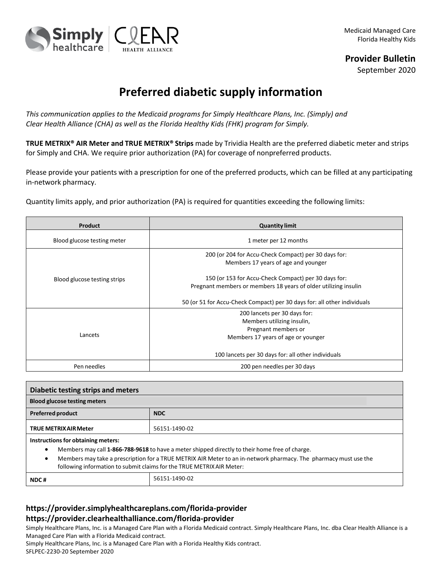

## **Provider Bulletin**

September 2020

## **Preferred diabetic supply information**

*This communication applies to the Medicaid programs for Simply Healthcare Plans, Inc. (Simply) and Clear Health Alliance (CHA) as well as the Florida Healthy Kids (FHK) program for Simply.*

**TRUE METRIX® AIR Meter and TRUE METRIX® Strips** made by Trividia Health are the preferred diabetic meter and strips for Simply and CHA. We require prior authorization (PA) for coverage of nonpreferred products.

Please provide your patients with a prescription for one of the preferred products, which can be filled at any participating in-network pharmacy.

Quantity limits apply, and prior authorization (PA) is required for quantities exceeding the following limits:

| Product                      | <b>Quantity limit</b>                                                                                                   |
|------------------------------|-------------------------------------------------------------------------------------------------------------------------|
| Blood glucose testing meter  | 1 meter per 12 months                                                                                                   |
| Blood glucose testing strips | 200 (or 204 for Accu-Check Compact) per 30 days for:<br>Members 17 years of age and younger                             |
|                              | 150 (or 153 for Accu-Check Compact) per 30 days for:<br>Pregnant members or members 18 years of older utilizing insulin |
|                              | 50 (or 51 for Accu-Check Compact) per 30 days for: all other individuals                                                |
| Lancets                      | 200 lancets per 30 days for:<br>Members utilizing insulin,<br>Pregnant members or<br>Members 17 years of age or younger |
|                              | 100 lancets per 30 days for: all other individuals                                                                      |
| Pen needles                  | 200 pen needles per 30 days                                                                                             |

| Diabetic testing strips and meters                                                                                                                                                                                                                                                                                                          |               |  |
|---------------------------------------------------------------------------------------------------------------------------------------------------------------------------------------------------------------------------------------------------------------------------------------------------------------------------------------------|---------------|--|
| <b>Blood glucose testing meters</b>                                                                                                                                                                                                                                                                                                         |               |  |
| <b>Preferred product</b>                                                                                                                                                                                                                                                                                                                    | <b>NDC</b>    |  |
| <b>TRUE METRIX AIR Meter</b>                                                                                                                                                                                                                                                                                                                | 56151-1490-02 |  |
| Instructions for obtaining meters:<br>Members may call 1-866-788-9618 to have a meter shipped directly to their home free of charge.<br>٠<br>Members may take a prescription for a TRUE METRIX AIR Meter to an in-network pharmacy. The pharmacy must use the<br>٠<br>following information to submit claims for the TRUE METRIX AIR Meter: |               |  |
| NDC#                                                                                                                                                                                                                                                                                                                                        | 56151-1490-02 |  |

## **https://provider.simplyhealthcareplans.com/florida-provider https://provider.clearhealthalliance.com/florida-provider**

Simply Healthcare Plans, Inc. is a Managed Care Plan with a Florida Medicaid contract. Simply Healthcare Plans, Inc. dba Clear Health Alliance is a Managed Care Plan with a Florida Medicaid contract.

Simply Healthcare Plans, Inc. is a Managed Care Plan with a Florida Healthy Kids contract.

SFLPEC-2230-20 September 2020